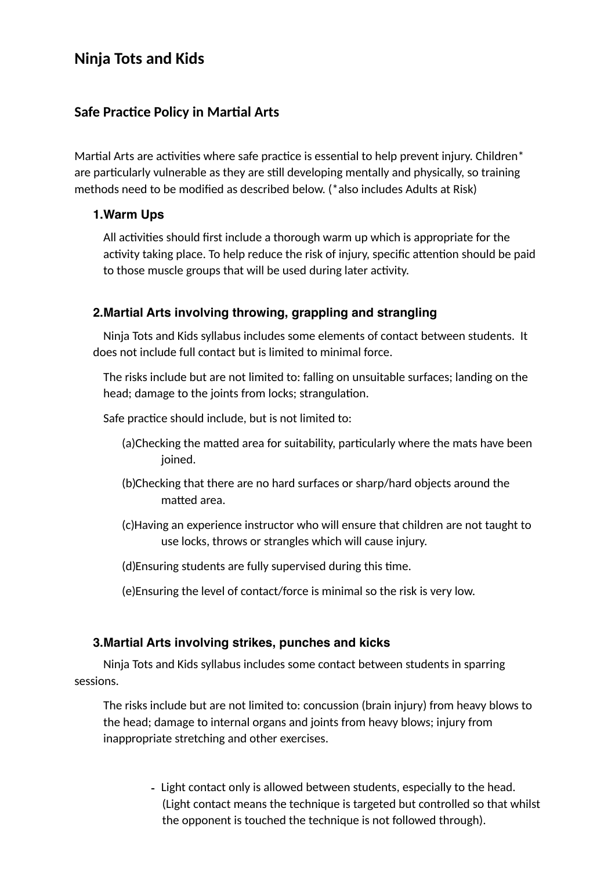# **Ninja Tots and Kids**

## **Safe Practice Policy in Martial Arts**

Martial Arts are activities where safe practice is essential to help prevent injury. Children\* are particularly vulnerable as they are still developing mentally and physically, so training methods need to be modified as described below. (\*also includes Adults at Risk)

#### **1.Warm Ups**

All activities should first include a thorough warm up which is appropriate for the activity taking place. To help reduce the risk of injury, specific attention should be paid to those muscle groups that will be used during later activity.

## **2.Martial Arts involving throwing, grappling and strangling**

 Ninja Tots and Kids syllabus includes some elements of contact between students. It does not include full contact but is limited to minimal force.

The risks include but are not limited to: falling on unsuitable surfaces; landing on the head; damage to the joints from locks; strangulation.

Safe practice should include, but is not limited to:

- (a)Checking the matted area for suitability, particularly where the mats have been joined.
- (b)Checking that there are no hard surfaces or sharp/hard objects around the matted area.
- (c)Having an experience instructor who will ensure that children are not taught to use locks, throws or strangles which will cause injury.
- (d) Ensuring students are fully supervised during this time.
- (e)Ensuring the level of contact/force is minimal so the risk is very low.

## **3.Martial Arts involving strikes, punches and kicks**

 Ninja Tots and Kids syllabus includes some contact between students in sparring sessions.

The risks include but are not limited to: concussion (brain injury) from heavy blows to the head; damage to internal organs and joints from heavy blows; injury from inappropriate stretching and other exercises.

> - Light contact only is allowed between students, especially to the head. (Light contact means the technique is targeted but controlled so that whilst the opponent is touched the technique is not followed through).